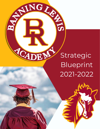

SINGLAND

TOADEN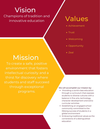# Vision

Champions of tradition and ampions of tradition and  $\nu$  Values

## **Mission**

To create a safe, positive environment that fosters intellectual curiosity and a thirst for discovery where students and staff succeed through exceptional programs.

- Achievement
- Trust
- Welcoming
- Opportunity
- $\bullet$  7eal

We will accomplish our mission by:

- Providing a world-class education through a curriculum that exposes students to diverse cultures with a balance in fine arts, technology, character development and extracurricular activities
- Establishing an engaged school community committed to the lifelong success of students in a global environment
- Embracing traditional values as the cornerstone of a distinguished education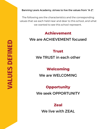Banning Lewis Academy, strives to live the values from "A-Z".

The following are the characteristics and the corresponding values that we each held near and dear to this school, and what we wanted to see this school represent.

## **Achievement**

### We are ACHIEVEMENT focused

### **Trust**

### We TRUST in each other

### **Welcoming**

We are WELCOMING

### **Opportunity**

We seek OPPORTUNITY

### **Zeal**

We live with ZEAL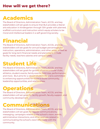## **Academics**

The Board of Directors, Administration Team, ACCEL and key stakeholders will set goals to ensure that BLA provides a liberalarts education in kindergarten through 12th grade with planned, scaffold curriculum and instruction which equip scholars to be moral and intellectual leaders in a self-governing society.

## **Financial**

The Board of Directors, Administration Team, ACCEL and key stakeholders will set goals for annual budget percentages for instruction, operations, administration, and other areas, as well as goals for long-term financial needs and planning to include facility needs, teachers salaries and campus safety.

## **Student Life**

The Board of Directors, Administration Team, ACCEL and key stakeholders will set goals for growth of extracurricular clubs, athletics, student events, family events, field trips, performances and more. BLA aims for a vibrant student life and is committed to enhancing opportunities for these to build community, leadership opportunities, and relationships.

## **Operations**

The Board of Directors, Administration Team, ACCEL and key stakeholders will set goals for facility growth, faculty support, and community development.

## **Communications**

The Board of Directors, Administration Team, ACCEL and key stakeholders will set goals for regular communications, messaging, campaigns related to the school's vision, events, administrative interactions, and other avenues related to communicating the school's vision effectively with the community.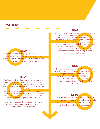### **Our Jouney**

#### **What?**

This is the school's strategic plan. The Board and Admin will create a one page plan overview for their topic--a 30,000 foot view of our goals in the areas of focus.

#### **Why?**

Clear planning ensures alignment. The power of the whole is harnessed when everyone understands how their individual role fits into the mission, thus allowing the organization to move forward in powerful ways. It increases transparency and accountability -- and perhaps most importantly, joy! The feeling of true alignment has been compared to the feeling a team of rowers has when rowing in-sync, skimming across the water.

#### **Who?**

The Board of Directors with the help of the Admin, team members, and stakeholders are leading this charge. When you receive a survey related to BLUEPRINT 2021/22, please fill it out, and join us in the meaningful endeavor as we strive to further fulfill our mission.

#### **Where?**

EVERYWHERE!!! On the website, printed versions given to faculty and staff, on the walls in office areas. We do not want this filed away or lost, but in plain sight everyday!

#### **How?**

The Board and Admin will create with input and collaboration from all stakeholders. The Board and Admin will create teams that will work diligently to gather information for each of the focus areas. We will need to hear from you! Over the next few weeks, all parents, teachers, staff and students will be asked to fill out surveys. Why surveys? Surveys allow us to hear from stakeholders on carefully constructed and targeted questions in a systematic ways, including open- ended responses that may require further survey questions. It provides usable data based on number of respondents at a macro-level.